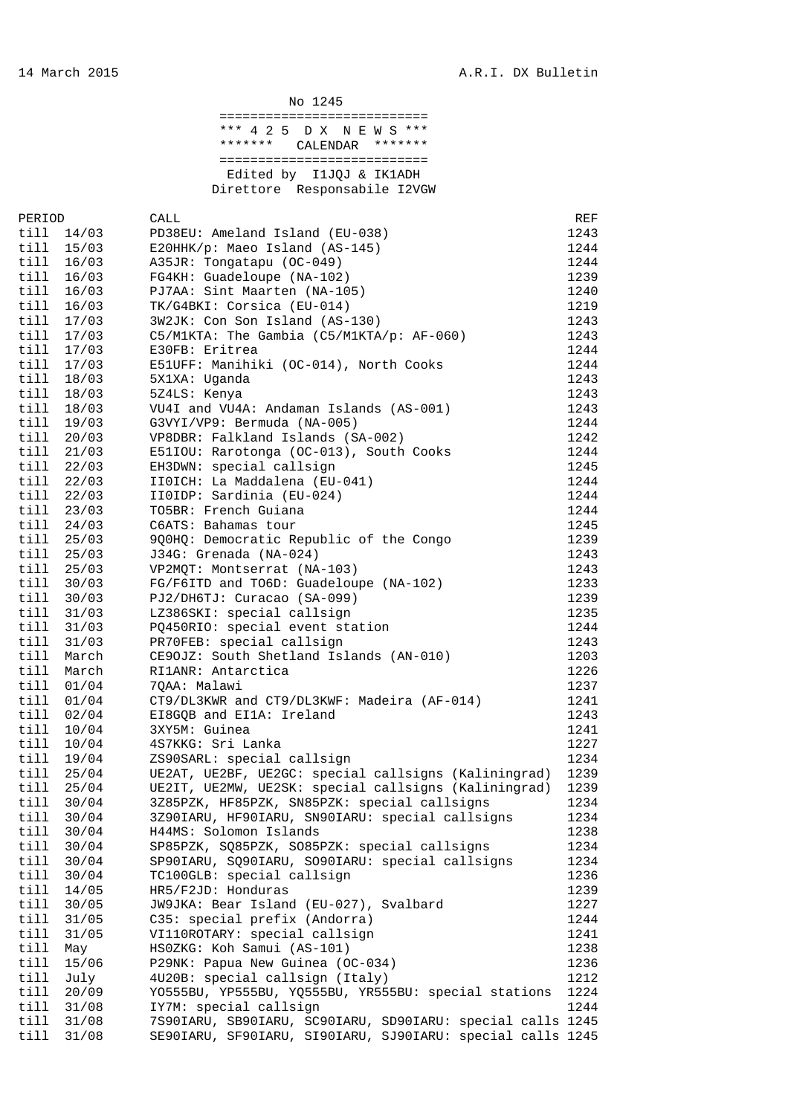| No 1245              |                |                                                                |              |  |  |  |  |
|----------------------|----------------|----------------------------------------------------------------|--------------|--|--|--|--|
|                      |                | ============================                                   |              |  |  |  |  |
|                      |                | *** 4 2 5 D X N E W S ***                                      |              |  |  |  |  |
|                      |                | * * * * * * *<br>*******<br>CALENDAR                           |              |  |  |  |  |
|                      |                | =============================                                  |              |  |  |  |  |
|                      |                | Edited by IlJQJ & IK1ADH                                       |              |  |  |  |  |
|                      |                | Direttore Responsabile I2VGW                                   |              |  |  |  |  |
|                      |                |                                                                |              |  |  |  |  |
| PERIOD<br>till 14/03 |                | CALL<br>PD38EU: Ameland Island (EU-038)                        | REF<br>1243  |  |  |  |  |
| till 15/03           |                | E20HHK/p: Maeo Island (AS-145)                                 | 1244         |  |  |  |  |
| till 16/03           |                | A35JR: Tongatapu (OC-049)                                      | 1244         |  |  |  |  |
| till                 | 16/03          | FG4KH: Guadeloupe (NA-102)                                     | 1239         |  |  |  |  |
| till                 | 16/03          | PJ7AA: Sint Maarten (NA-105)                                   | 1240         |  |  |  |  |
| till 16/03           |                | TK/G4BKI: Corsica (EU-014)                                     | 1219         |  |  |  |  |
| till 17/03           |                | 3W2JK: Con Son Island (AS-130)                                 | 1243         |  |  |  |  |
| till 17/03           |                | C5/M1KTA: The Gambia (C5/M1KTA/p: AF-060)                      | 1243         |  |  |  |  |
| till 17/03           |                | E30FB: Eritrea                                                 | 1244         |  |  |  |  |
| till                 | 17/03          | E51UFF: Manihiki (OC-014), North Cooks                         | 1244         |  |  |  |  |
| till 18/03           |                | 5X1XA: Uganda                                                  | 1243         |  |  |  |  |
| till                 | 18/03          | 5Z4LS: Kenya                                                   | 1243         |  |  |  |  |
| till                 | 18/03          | VU4I and VU4A: Andaman Islands (AS-001)                        | 1243         |  |  |  |  |
| till                 | 19/03          | G3VYI/VP9: Bermuda (NA-005)                                    | 1244         |  |  |  |  |
| till 20/03           |                | VP8DBR: Falkland Islands (SA-002)                              | 1242         |  |  |  |  |
| till                 | 21/03          | E51IOU: Rarotonga (OC-013), South Cooks                        | 1244         |  |  |  |  |
| till 22/03           |                | EH3DWN: special callsign                                       | 1245         |  |  |  |  |
| till 22/03           |                | IIOICH: La Maddalena (EU-041)                                  | 1244         |  |  |  |  |
| till 22/03           |                | IIOIDP: Sardinia (EU-024)                                      | 1244         |  |  |  |  |
| till 23/03           |                | TO5BR: French Guiana                                           | 1244         |  |  |  |  |
| till 24/03           |                | C6ATS: Bahamas tour                                            | 1245         |  |  |  |  |
| till 25/03           |                | 9Q0HQ: Democratic Republic of the Congo                        | 1239         |  |  |  |  |
| till 25/03           |                | J34G: Grenada (NA-024)                                         | 1243         |  |  |  |  |
| till 25/03           |                | VP2MQT: Montserrat (NA-103)                                    | 1243         |  |  |  |  |
| till<br>till         | 30/03          | FG/F6ITD and TO6D: Guadeloupe (NA-102)                         | 1233         |  |  |  |  |
| till                 | 30/03<br>31/03 | PJ2/DH6TJ: Curacao (SA-099)<br>LZ386SKI: special callsign      | 1239<br>1235 |  |  |  |  |
| till                 | 31/03          | PQ450RIO: special event station                                | 1244         |  |  |  |  |
| till                 | 31/03          | PR70FEB: special callsign                                      | 1243         |  |  |  |  |
| till                 | March          | CE90JZ: South Shetland Islands (AN-010)                        | 1203         |  |  |  |  |
| till                 | March          | RI1ANR: Antarctica                                             | 1226         |  |  |  |  |
| till 01/04           |                | 70AA: Malawi                                                   | 1237         |  |  |  |  |
| till                 | 01/04          | CT9/DL3KWR and CT9/DL3KWF: Madeira (AF-014)                    | 1241         |  |  |  |  |
| till                 | 02/04          | EI8GQB and EI1A: Ireland                                       | 1243         |  |  |  |  |
| till                 | 10/04          | 3XY5M: Guinea                                                  | 1241         |  |  |  |  |
| till                 | 10/04          | 4S7KKG: Sri Lanka                                              | 1227         |  |  |  |  |
| till                 | 19/04          | ZS90SARL: special callsign                                     | 1234         |  |  |  |  |
| till                 | 25/04          | UE2AT, UE2BF, UE2GC: special callsigns (Kaliningrad)           | 1239         |  |  |  |  |
| till                 | 25/04          | UE2IT, UE2MW, UE2SK: special callsigns (Kaliningrad)           | 1239         |  |  |  |  |
| till                 | 30/04          | 3Z85PZK, HF85PZK, SN85PZK: special callsigns                   | 1234         |  |  |  |  |
| till                 | 30/04          | 3Z90IARU, HF90IARU, SN90IARU: special callsigns                | 1234         |  |  |  |  |
| till                 | 30/04          | H44MS: Solomon Islands                                         | 1238         |  |  |  |  |
| till                 | 30/04          | SP85PZK, SQ85PZK, SO85PZK: special callsigns                   | 1234         |  |  |  |  |
| till                 | 30/04          | SP90IARU, SQ90IARU, SO90IARU: special callsigns                | 1234         |  |  |  |  |
| till                 | 30/04          | TC100GLB: special callsign                                     | 1236         |  |  |  |  |
| till                 | 14/05          | HR5/F2JD: Honduras                                             | 1239         |  |  |  |  |
| till                 | 30/05          | JW9JKA: Bear Island (EU-027), Svalbard                         | 1227         |  |  |  |  |
| till<br>till         | 31/05<br>31/05 | C35: special prefix (Andorra)<br>VI110ROTARY: special callsign | 1244<br>1241 |  |  |  |  |
| til1                 | May            | HSOZKG: Koh Samui (AS-101)                                     | 1238         |  |  |  |  |
| till                 | 15/06          | P29NK: Papua New Guinea (OC-034)                               | 1236         |  |  |  |  |
| till                 | July           | 4U20B: special callsign (Italy)                                | 1212         |  |  |  |  |
| till                 | 20/09          | YO555BU, YP555BU, YQ555BU, YR555BU: special stations           | 1224         |  |  |  |  |
| till                 | 31/08          | IY7M: special callsign                                         | 1244         |  |  |  |  |
| till 31/08           |                | 7S90IARU, SB90IARU, SC90IARU, SD90IARU: special calls 1245     |              |  |  |  |  |
| till                 | 31/08          | SE90IARU, SF90IARU, SI90IARU, SJ90IARU: special calls 1245     |              |  |  |  |  |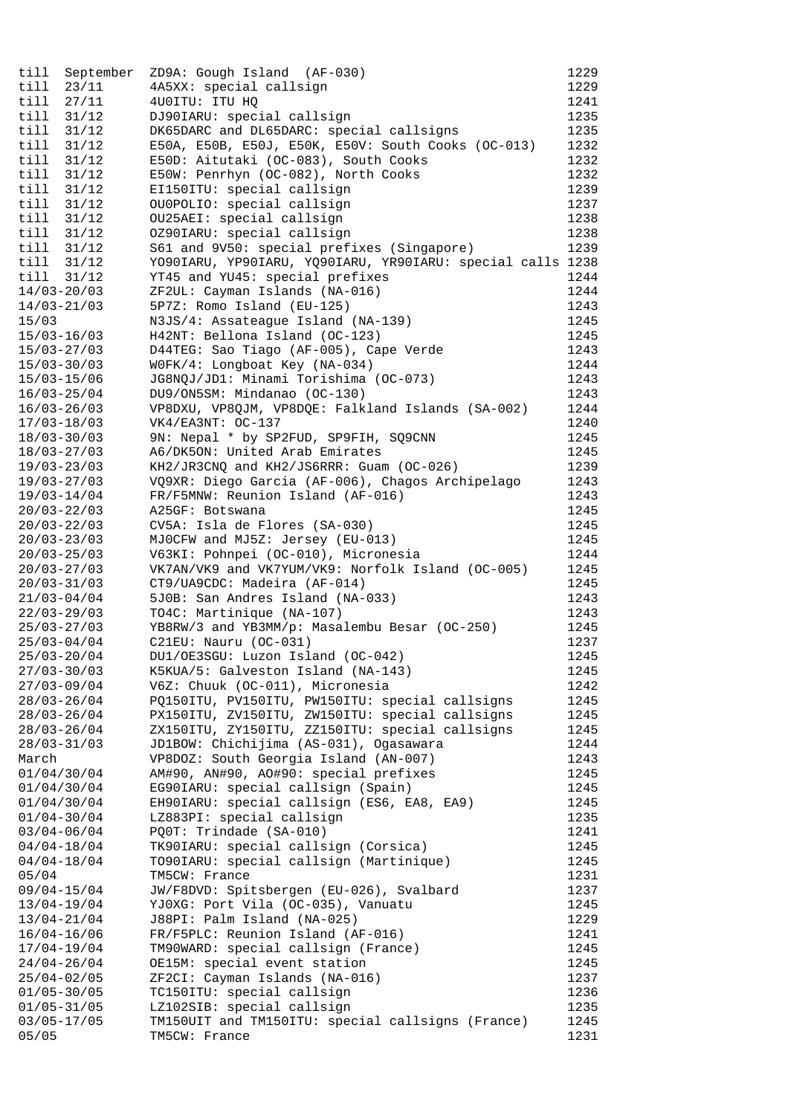| till                               |                | September ZD9A: Gough Island (AF-030)                             | 1229         |
|------------------------------------|----------------|-------------------------------------------------------------------|--------------|
| till                               | 23/11          | 4A5XX: special callsign                                           | 1229         |
| till                               | 27/11          | 4U0ITU: ITU HQ                                                    | 1241         |
| till                               | 31/12          | DJ90IARU: special callsign                                        | 1235         |
| till                               | 31/12          | DK65DARC and DL65DARC: special callsigns                          | 1235         |
| till                               | 31/12          | E50A, E50B, E50J, E50K, E50V: South Cooks (OC-013)                | 1232         |
| till                               | 31/12          | E50D: Aitutaki (OC-083), South Cooks                              | 1232         |
| till                               | 31/12          | E50W: Penrhyn (OC-082), North Cooks                               | 1232         |
| till<br>till                       | 31/12<br>31/12 | EI150ITU: special callsign                                        | 1239         |
| till                               | 31/12          | OU0POLIO: special callsign<br>OU25AEI: special callsign           | 1237<br>1238 |
| till                               | 31/12          | 0Z90IARU: special callsign                                        | 1238         |
| till                               | 31/12          | S61 and 9V50: special prefixes (Singapore)                        | 1239         |
| till                               | 31/12          | YO90IARU, YP90IARU, YQ90IARU, YR90IARU: special calls 1238        |              |
| till                               | 31/12          | YT45 and YU45: special prefixes                                   | 1244         |
| $14/03 - 20/03$                    |                | ZF2UL: Cayman Islands (NA-016)                                    | 1244         |
| $14/03 - 21/03$                    |                | 5P7Z: Romo Island (EU-125)                                        | 1243         |
| 15/03                              |                | N3JS/4: Assateague Island (NA-139)                                | 1245         |
| $15/03 - 16/03$                    |                | H42NT: Bellona Island (OC-123)                                    | 1245         |
| $15/03 - 27/03$                    |                | D44TEG: Sao Tiago (AF-005), Cape Verde                            | 1243         |
| $15/03 - 30/03$                    |                | WOFK/4: Longboat Key (NA-034)                                     | 1244         |
| $15/03 - 15/06$                    |                | JG8NQJ/JD1: Minami Torishima (OC-073)                             | 1243         |
| $16/03 - 25/04$                    |                | DU9/ON5SM: Mindanao (OC-130)                                      | 1243         |
| $16/03 - 26/03$                    |                | VP8DXU, VP8QJM, VP8DQE: Falkland Islands (SA-002)                 | 1244         |
| $17/03 - 18/03$                    |                | $VK4/EA3NT: OC-137$                                               | 1240         |
| $18/03 - 30/03$                    |                | 9N: Nepal * by SP2FUD, SP9FIH, SQ9CNN                             | 1245         |
| $18/03 - 27/03$                    |                | A6/DK5ON: United Arab Emirates                                    | 1245         |
| $19/03 - 23/03$                    |                | KH2/JR3CNQ and KH2/JS6RRR: Guam (OC-026)                          | 1239         |
| $19/03 - 27/03$                    |                | VQ9XR: Diego Garcia (AF-006), Chagos Archipelago                  | 1243         |
| $19/03 - 14/04$                    |                | FR/F5MNW: Reunion Island (AF-016)                                 | 1243         |
| $20/03 - 22/03$                    |                | A25GF: Botswana                                                   | 1245         |
| $20/03 - 22/03$                    |                | CV5A: Isla de Flores (SA-030)                                     | 1245         |
| $20/03 - 23/03$                    |                | MJOCFW and MJ5Z: Jersey (EU-013)                                  | 1245         |
| $20/03 - 25/03$                    |                | V63KI: Pohnpei (OC-010), Micronesia                               | 1244         |
| $20/03 - 27/03$                    |                | VK7AN/VK9 and VK7YUM/VK9: Norfolk Island (OC-005)                 | 1245         |
| $20/03 - 31/03$                    |                | CT9/UA9CDC: Madeira (AF-014)                                      | 1245         |
| $21/03 - 04/04$<br>$22/03 - 29/03$ |                | 5J0B: San Andres Island (NA-033)<br>TO4C: Martinique (NA-107)     | 1243<br>1243 |
| $25/03 - 27/03$                    |                | YB8RW/3 and YB3MM/p: Masalembu Besar (OC-250)                     | 1245         |
| $25/03 - 04/04$                    |                | C21EU: Nauru (OC-031)                                             | 1237         |
| $25/03 - 20/04$                    |                | DU1/OE3SGU: Luzon Island (OC-042)                                 | 1245         |
| $27/03 - 30/03$                    |                | K5KUA/5: Galveston Island (NA-143)                                | 1245         |
| $27/03 - 09/04$                    |                | V6Z: Chuuk (OC-011), Micronesia                                   | 1242         |
| $28/03 - 26/04$                    |                | PQ150ITU, PV150ITU, PW150ITU: special callsigns                   | 1245         |
| $28/03 - 26/04$                    |                | PX150ITU, ZV150ITU, ZW150ITU: special callsigns                   | 1245         |
| $28/03 - 26/04$                    |                | ZX150ITU, ZY150ITU, ZZ150ITU: special callsigns                   | 1245         |
| $28/03 - 31/03$                    |                | JD1BOW: Chichijima (AS-031), Ogasawara                            | 1244         |
| March                              |                | VP8DOZ: South Georgia Island (AN-007)                             | 1243         |
| 01/04/30/04                        |                | AM#90, AN#90, AO#90: special prefixes                             | 1245         |
| 01/04/30/04                        |                | EG90IARU: special callsign (Spain)                                | 1245         |
| 01/04/30/04                        |                | EH90IARU: special callsign (ES6, EA8, EA9)                        | 1245         |
| $01/04 - 30/04$                    |                | LZ883PI: special callsign                                         | 1235         |
| $03/04 - 06/04$                    |                | PQ0T: Trindade (SA-010)                                           | 1241         |
| $04/04 - 18/04$                    |                | TK90IARU: special callsign (Corsica)                              | 1245         |
| $04/04 - 18/04$                    |                | TO90IARU: special callsign (Martinique)                           | 1245         |
| 05/04                              |                | TM5CW: France                                                     | 1231         |
| $09/04 - 15/04$                    |                | JW/F8DVD: Spitsbergen (EU-026), Svalbard                          | 1237         |
| $13/04 - 19/04$<br>$13/04 - 21/04$ |                | YJ0XG: Port Vila (OC-035), Vanuatu<br>J88PI: Palm Island (NA-025) | 1245<br>1229 |
| $16/04 - 16/06$                    |                | FR/F5PLC: Reunion Island (AF-016)                                 | 1241         |
| $17/04 - 19/04$                    |                | TM90WARD: special callsign (France)                               | 1245         |
| $24/04 - 26/04$                    |                | OE15M: special event station                                      | 1245         |
| $25/04 - 02/05$                    |                | ZF2CI: Cayman Islands (NA-016)                                    | 1237         |
| $01/05 - 30/05$                    |                | TC150ITU: special callsign                                        | 1236         |
| $01/05 - 31/05$                    |                | LZ102SIB: special callsign                                        | 1235         |
| $03/05 - 17/05$                    |                | TM150UIT and TM150ITU: special callsigns (France)                 | 1245         |
| 05/05                              |                | TM5CW: France                                                     | 1231         |
|                                    |                |                                                                   |              |